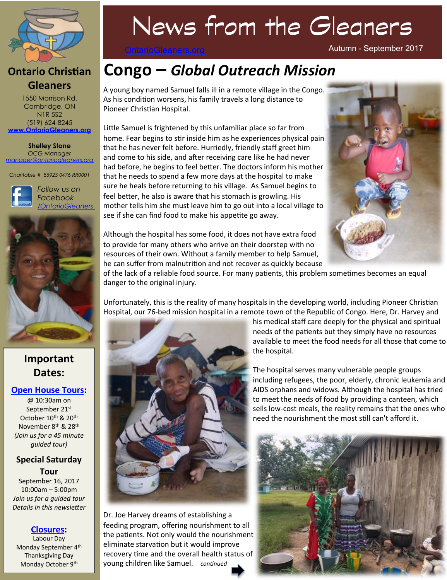

### **Ontario Christian Gleaners**

1550 Morrison Rd, Cambridge, ON N1R 5S2 (519) 624-8245 **www.OntarioGleaners.org**

**Shelley Stone** *OCG Manager manager@ontariogleaners.org*

*Charitable # 85923 0476 RR0001* 





## **Important Dates:**

#### **Open House Tours:**

@ 10:30am on September 21st October 10<sup>th</sup> & 20<sup>th</sup> November 8<sup>th</sup> & 28<sup>th</sup> *(Join us for a 45 minute guided* tour)

#### **Special Saturday Tour**

September 16, 2017  $10:00$ am – 5:00pm *Join us for a quided tour* Details in this newsletter

#### **Closures:**

Labour Day Monday September 4<sup>th</sup> Thanksgiving Day Monday October 9<sup>th</sup>

# News from the Gleaners

OntarioGleaners.org

# **Congo** - Global Outreach Mission

A young boy named Samuel falls ill in a remote village in the Congo. As his condition worsens, his family travels a long distance to Pioneer Christian Hospital.

Little Samuel is frightened by this unfamiliar place so far from home. Fear begins to stir inside him as he experiences physical pain that he has never felt before. Hurriedly, friendly staff greet him and come to his side, and after receiving care like he had never had before, he begins to feel better. The doctors inform his mother that he needs to spend a few more days at the hospital to make sure he heals before returning to his village. As Samuel begins to feel better, he also is aware that his stomach is growling. His mother tells him she must leave him to go out into a local village to see if she can find food to make his appetite go away.

Although the hospital has some food, it does not have extra food to provide for many others who arrive on their doorstep with no resources of their own. Without a family member to help Samuel, he can suffer from malnutrition and not recover as quickly because



Autumn - September 2017

of the lack of a reliable food source. For many patients, this problem sometimes becomes an equal

Unfortunately, this is the reality of many hospitals in the developing world, including Pioneer Christian Hospital, our 76-bed mission hospital in a remote town of the Republic of Congo. Here, Dr. Harvey and



danger to the original injury.

Dr. Joe Harvey dreams of establishing a feeding program, offering nourishment to all the patients. Not only would the nourishment eliminate starvation but it would improve recovery time and the overall health status of young children like Samuel. continued

his medical staff care deeply for the physical and spiritual needs of the patients but they simply have no resources available to meet the food needs for all those that come to the hospital.

The hospital serves many vulnerable people groups including refugees, the poor, elderly, chronic leukemia and AIDS orphans and widows. Although the hospital has tried to meet the needs of food by providing a canteen, which sells low-cost meals, the reality remains that the ones who need the nourishment the most still can't afford it.

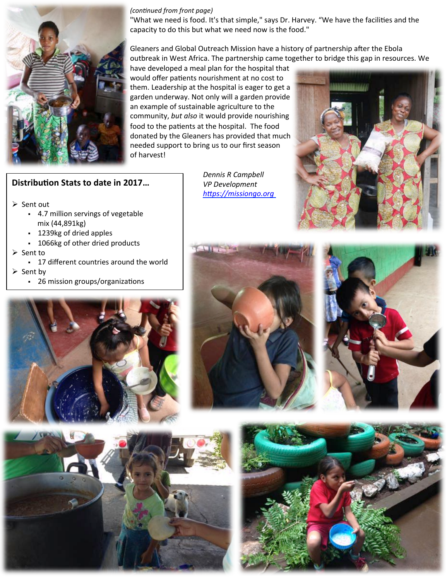

#### *(continued from front page)*

"What we need is food. It's that simple," says Dr. Harvey. "We have the facilities and the capacity to do this but what we need now is the food."

Gleaners and Global Outreach Mission have a history of partnership after the Ebola outbreak in West Africa. The partnership came together to bridge this gap in resources. We

have developed a meal plan for the hospital that would offer patients nourishment at no cost to them. Leadership at the hospital is eager to get a garden underway. Not only will a garden provide an example of sustainable agriculture to the community, but also it would provide nourishing food to the patients at the hospital. The food donated by the Gleaners has provided that much needed support to bring us to our first season of harvest!

#### **Distribution Stats to date in 2017...**

 $\triangleright$  Sent out

- § 4.7 million servings of vegetable mix (44,891kg)
- § 1239kg of dried apples
- 1066kg of other dried products
- $\triangleright$  Sent to
	- 17 different countries around the world

 $\triangleright$  Sent by

• 26 mission groups/organizations

Dennis R Campbell  *VP Development https://missiongo.org* 











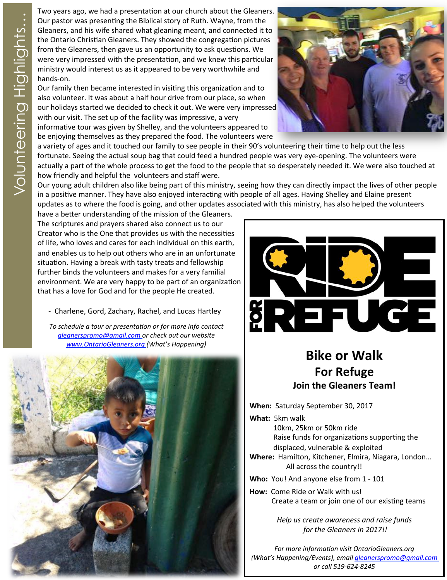Two years ago, we had a presentation at our church about the Gleaners.<br>
Cure pastor was presenting the Biblical story of Ruth. Wayne, from the<br>
Gleaners, and his wife shared what gleaning meant, and connected it to<br>
the On Our pastor was presenting the Biblical story of Ruth. Wayne, from the Gleaners, and his wife shared what gleaning meant, and connected it to the Ontario Christian Gleaners. They showed the congregation pictures from the Gleaners, then gave us an opportunity to ask questions. We were very impressed with the presentation, and we knew this particular ministry would interest us as it appeared to be very worthwhile and hands-on. 

Our family then became interested in visiting this organization and to also volunteer. It was about a half hour drive from our place, so when our holidays started we decided to check it out. We were very impressed with our visit. The set up of the facility was impressive, a very informative tour was given by Shelley, and the volunteers appeared to be enjoying themselves as they prepared the food. The volunteers were



a variety of ages and it touched our family to see people in their 90's volunteering their time to help out the less fortunate. Seeing the actual soup bag that could feed a hundred people was very eye-opening. The volunteers were actually a part of the whole process to get the food to the people that so desperately needed it. We were also touched at how friendly and helpful the volunteers and staff were.

Our young adult children also like being part of this ministry, seeing how they can directly impact the lives of other people in a positive manner. They have also enjoyed interacting with people of all ages. Having Shelley and Elaine present updates as to where the food is going, and other updates associated with this ministry, has also helped the volunteers

have a better understanding of the mission of the Gleaners. The scriptures and prayers shared also connect us to our Creator who is the One that provides us with the necessities of life, who loves and cares for each individual on this earth, and enables us to help out others who are in an unfortunate situation. Having a break with tasty treats and fellowship further binds the volunteers and makes for a very familial environment. We are very happy to be part of an organization that has a love for God and for the people He created.

- Charlene, Gord, Zachary, Rachel, and Lucas Hartley

To schedule a tour or presentation or for more info contact *gleanerspromo@gmail.com or check out our website*  www.OntarioGleaners.org (What's Happening)





# **Bike or Walk For Refuge Join the Gleaners Team!**

When: Saturday September 30, 2017

**What:** 5km walk 10km, 25km or 50km ride Raise funds for organizations supporting the displaced, vulnerable & exploited

**Where:** Hamilton, Kitchener, Elmira, Niagara, London... All across the country!!

**Who:** You! And anyone else from 1 - 101

How: Come Ride or Walk with us! Create a team or join one of our existing teams

> *Help* us create awareness and raise funds for the Gleaners in 2017!!

For more information visit OntarioGleaners.org *(What's Happening/Events), email gleanerspromo@gmail.com or call 519-624-8245*